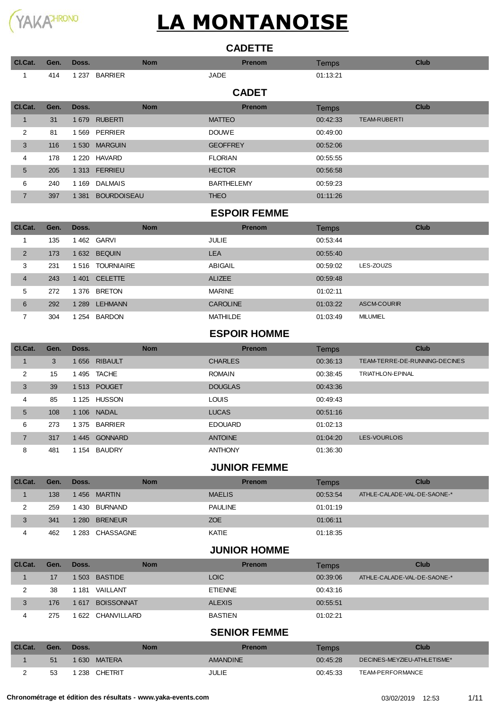

| <b>CADETTE</b> |  |
|----------------|--|

| Cl.Cat.        | Gen. | Doss.   |                    | <b>Nom</b> |                   | <b>Prenom</b> | <b>Temps</b> |                     | <b>Club</b> |
|----------------|------|---------|--------------------|------------|-------------------|---------------|--------------|---------------------|-------------|
| 1              | 414  | 1 2 3 7 | <b>BARRIER</b>     |            | <b>JADE</b>       |               | 01:13:21     |                     |             |
|                |      |         |                    |            |                   | <b>CADET</b>  |              |                     |             |
| Cl.Cat.        | Gen. | Doss.   |                    | <b>Nom</b> |                   | <b>Prenom</b> | <b>Temps</b> |                     | <b>Club</b> |
|                | 31   | 1 6 7 9 | <b>RUBERTI</b>     |            | <b>MATTEO</b>     |               | 00:42:33     | <b>TEAM-RUBERTI</b> |             |
| 2              | 81   | 1 5 6 9 | <b>PERRIER</b>     |            | <b>DOUWE</b>      |               | 00:49:00     |                     |             |
| 3              | 116  | 1 5 3 0 | <b>MARGUIN</b>     |            | <b>GEOFFREY</b>   |               | 00:52:06     |                     |             |
| 4              | 178  |         | 1 220 HAVARD       |            | <b>FLORIAN</b>    |               | 00:55:55     |                     |             |
| 5              | 205  | 1 3 1 3 | <b>FERRIEU</b>     |            | <b>HECTOR</b>     |               | 00:56:58     |                     |             |
| 6              | 240  | 1 1 6 9 | <b>DALMAIS</b>     |            | <b>BARTHELEMY</b> |               | 00:59:23     |                     |             |
| $\overline{7}$ | 397  | 1 3 8 1 | <b>BOURDOISEAU</b> |            | <b>THEO</b>       |               | 01:11:26     |                     |             |

#### **ESPOIR FEMME**

| Cl.Cat.        | Gen. | Doss.   | <b>Nom</b>        | <b>Prenom</b>   | Temps    | Club               |
|----------------|------|---------|-------------------|-----------------|----------|--------------------|
|                | 135  | 462     | GARVI             | JULIE           | 00:53:44 |                    |
| $\overline{2}$ | 173  | 1 632   | <b>BEQUIN</b>     | <b>LEA</b>      | 00:55:40 |                    |
| 3              | 231  | 1516    | <b>TOURNIAIRE</b> | <b>ABIGAIL</b>  | 00:59:02 | LES-ZOUZS          |
| $\overline{4}$ | 243  | 1 4 0 1 | <b>CELETTE</b>    | <b>ALIZEE</b>   | 00:59:48 |                    |
| 5              | 272  | 1 376   | <b>BRETON</b>     | <b>MARINE</b>   | 01:02:11 |                    |
| 6              | 292  | 1 2 8 9 | <b>LEHMANN</b>    | <b>CAROLINE</b> | 01:03:22 | <b>ASCM-COURIR</b> |
|                | 304  | 254     | <b>BARDON</b>     | MATHILDE        | 01:03:49 | <b>MILUMIEL</b>    |

### **ESPOIR HOMME**

| Cl.Cat.        | Gen. | Doss.   | <b>Nom</b>     | <b>Prenom</b>  | Temps    | Club                          |
|----------------|------|---------|----------------|----------------|----------|-------------------------------|
|                | 3    | 1 656   | <b>RIBAULT</b> | <b>CHARLES</b> | 00:36:13 | TEAM-TERRE-DE-RUNNING-DECINES |
| 2              | 15   | 1495    | TACHE          | <b>ROMAIN</b>  | 00:38:45 | <b>TRIATHLON-EPINAL</b>       |
| 3              | 39   | 1513    | <b>POUGET</b>  | <b>DOUGLAS</b> | 00:43:36 |                               |
| 4              | 85   | 1 1 2 5 | <b>HUSSON</b>  | <b>LOUIS</b>   | 00:49:43 |                               |
| 5              | 108  | 1 1 0 6 | <b>NADAL</b>   | <b>LUCAS</b>   | 00:51:16 |                               |
| 6              | 273  | 1 375   | <b>BARRIER</b> | <b>EDOUARD</b> | 01:02:13 |                               |
| $\overline{7}$ | 317  | 1 445   | <b>GONNARD</b> | <b>ANTOINE</b> | 01:04:20 | LES-VOURLOIS                  |
| 8              | 481  | 1 154   | <b>BAUDRY</b>  | <b>ANTHONY</b> | 01:36:30 |                               |

### **JUNIOR FEMME**

| CI.Cat. | Gen. | Doss.     | Nom            | <b>Prenom</b>  | Temps    | <b>Club</b>                 |
|---------|------|-----------|----------------|----------------|----------|-----------------------------|
|         | 138  |           | 1456 MARTIN    | <b>MAELIS</b>  | 00:53:54 | ATHLE-CALADE-VAL-DE-SAONE-* |
|         | 259  | 430       | BURNAND        | <b>PAULINE</b> | 01:01:19 |                             |
| 3       | 341  | $-1280 -$ | <b>BRENEUR</b> | <b>ZOE</b>     | 01:06:11 |                             |
|         | 462  | 283       | CHASSAGNE      | KATIE          | 01:18:35 |                             |

### **JUNIOR HOMME**

| Cl.Cat. | Gen. | Doss. | <b>Nom</b>        | <b>Prenom</b>  | Temps    | Club                        |
|---------|------|-------|-------------------|----------------|----------|-----------------------------|
|         | 17   |       | 1 503 BASTIDE     | <b>LOIC</b>    | 00:39:06 | ATHLE-CALADE-VAL-DE-SAONE-* |
|         | 38   | 1 181 | VAILLANT          | <b>ETIENNE</b> | 00:43:16 |                             |
| 3       | 176  | 1617  | <b>BOISSONNAT</b> | <b>ALEXIS</b>  | 00:55:51 |                             |
| 4       | 275  |       | 622 CHANVILLARD   | <b>BASTIEN</b> | 01:02:21 |                             |

### **SENIOR FEMME**

| CI.Cat. | Gen. | Doss.                   | Nom | <b>Prenom</b>   | Temps    | Club                        |
|---------|------|-------------------------|-----|-----------------|----------|-----------------------------|
|         | .51  | <b>MATERA</b><br>630    |     | <b>AMANDINE</b> | 00:45:28 | DECINES-MEYZIEU-ATHLETISME* |
|         | 53   | <b>CHETRIT</b><br>' 238 |     | JULIE           | 00:45:33 | TEAM-PERFORMANCE            |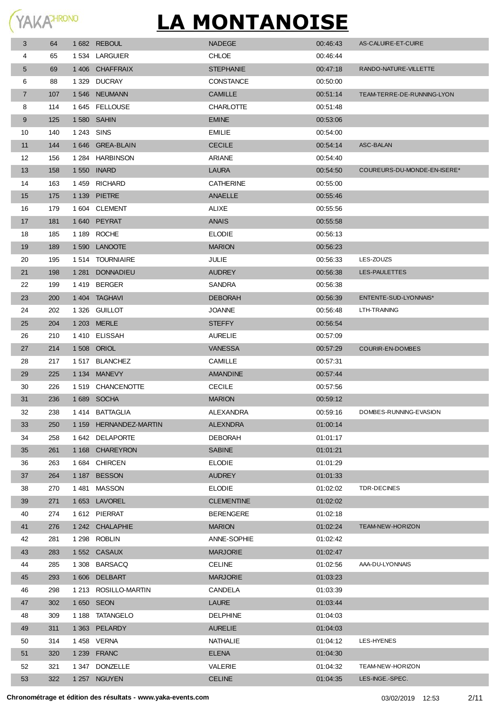| 3              | 64  |            | 1682 REBOUL            | <b>NADEGE</b>     | 00:46:43 | AS-CALUIRE-ET-CUIRE         |
|----------------|-----|------------|------------------------|-------------------|----------|-----------------------------|
| 4              | 65  |            | 1534 LARGUIER          | <b>CHLOE</b>      | 00:46:44 |                             |
| 5              | 69  |            | 1406 CHAFFRAIX         | <b>STEPHANIE</b>  | 00:47:18 | RANDO-NATURE-VILLETTE       |
| 6              | 88  | 1 3 2 9    | <b>DUCRAY</b>          | <b>CONSTANCE</b>  | 00:50:00 |                             |
| $\overline{7}$ | 107 |            | 1546 NEUMANN           | <b>CAMILLE</b>    | 00:51:14 | TEAM-TERRE-DE-RUNNING-LYON  |
| 8              | 114 |            | 1645 FELLOUSE          | <b>CHARLOTTE</b>  | 00:51:48 |                             |
| 9              | 125 |            | 1 580 SAHIN            | <b>EMINE</b>      | 00:53:06 |                             |
| 10             | 140 | 1 243 SINS |                        | <b>EMILIE</b>     | 00:54:00 |                             |
| 11             | 144 |            | 1646 GREA-BLAIN        | <b>CECILE</b>     | 00:54:14 | <b>ASC-BALAN</b>            |
| 12             | 156 |            | 1 284 HARBINSON        | ARIANE            | 00:54:40 |                             |
| 13             | 158 |            | 1 550 INARD            | <b>LAURA</b>      | 00:54:50 | COUREURS-DU-MONDE-EN-ISERE* |
| 14             | 163 |            | 1459 RICHARD           | <b>CATHERINE</b>  | 00:55:00 |                             |
| 15             | 175 |            | 1 139 PIETRE           | ANAELLE           | 00:55:46 |                             |
| 16             | 179 |            | 1604 CLEMENT           | ALIXE             | 00:55:56 |                             |
| 17             | 181 |            | 1640 PEYRAT            | <b>ANAIS</b>      | 00:55:58 |                             |
| 18             | 185 |            | 1 189 ROCHE            | <b>ELODIE</b>     | 00:56:13 |                             |
| 19             | 189 |            | 1590 LANOOTE           | <b>MARION</b>     | 00:56:23 |                             |
| 20             | 195 |            | 1514 TOURNIAIRE        | JULIE             | 00:56:33 | LES-ZOUZS                   |
| 21             | 198 |            | 1 281 DONNADIEU        | <b>AUDREY</b>     | 00:56:38 | LES-PAULETTES               |
| 22             | 199 |            | 1419 BERGER            | <b>SANDRA</b>     | 00:56:38 |                             |
| 23             | 200 |            | 1404 TAGHAVI           | <b>DEBORAH</b>    | 00:56:39 | ENTENTE-SUD-LYONNAIS*       |
| 24             | 202 |            | 1326 GUILLOT           | <b>JOANNE</b>     | 00:56:48 | LTH-TRAINING                |
| 25             | 204 |            | 1 203 MERLE            | <b>STEFFY</b>     | 00:56:54 |                             |
| 26             | 210 |            | 1410 ELISSAH           | <b>AURELIE</b>    | 00:57:09 |                             |
| 27             | 214 |            | 1 508 ORIOL            | <b>VANESSA</b>    | 00:57:29 | <b>COURIR-EN-DOMBES</b>     |
| 28             | 217 |            | 1517 BLANCHEZ          | <b>CAMILLE</b>    | 00:57:31 |                             |
| 29             | 225 |            | 1 134 MANEVY           | <b>AMANDINE</b>   | 00:57:44 |                             |
| 30             | 226 |            | 1519 CHANCENOTTE       | <b>CECILE</b>     | 00:57:56 |                             |
| 31             | 236 |            | 1689 SOCHA             | <b>MARION</b>     | 00:59:12 |                             |
| 32             | 238 |            | 1414 BATTAGLIA         | ALEXANDRA         | 00:59:16 | DOMBES-RUNNING-EVASION      |
| 33             | 250 |            | 1 159 HERNANDEZ-MARTIN | <b>ALEXNDRA</b>   | 01:00:14 |                             |
| 34             | 258 |            | 1 642 DELAPORTE        | <b>DEBORAH</b>    | 01:01:17 |                             |
| 35             | 261 |            | 1 168 CHAREYRON        | <b>SABINE</b>     | 01:01:21 |                             |
| 36             | 263 |            | 1684 CHIRCEN           | <b>ELODIE</b>     | 01:01:29 |                             |
| 37             | 264 |            | 1187 BESSON            | <b>AUDREY</b>     | 01:01:33 |                             |
| 38             | 270 |            | 1481 MASSON            | <b>ELODIE</b>     | 01:02:02 | TDR-DECINES                 |
| 39             | 271 |            | 1653 LAVOREL           | <b>CLEMENTINE</b> | 01:02:02 |                             |
| 40             | 274 |            | 1612 PIERRAT           | <b>BERENGERE</b>  | 01:02:18 |                             |
| 41             | 276 |            | 1 242 CHALAPHIE        | <b>MARION</b>     | 01:02:24 | TEAM-NEW-HORIZON            |
| 42             | 281 |            | 1 298 ROBLIN           | ANNE-SOPHIE       | 01:02:42 |                             |
| 43             | 283 |            | 1552 CASAUX            | <b>MARJORIE</b>   | 01:02:47 |                             |
| 44             | 285 |            | 1 308 BARSACQ          | <b>CELINE</b>     | 01:02:56 | AAA-DU-LYONNAIS             |
|                | 293 |            | 1606 DELBART           | <b>MARJORIE</b>   | 01:03:23 |                             |
| 45             | 298 |            |                        |                   |          |                             |
| 46             |     |            | 1 213 ROSILLO-MARTIN   | CANDELA           | 01:03:39 |                             |
| 47             | 302 |            | 1 650 SEON             | <b>LAURE</b>      | 01:03:44 |                             |
| 48             | 309 |            | 1 188 TATANGELO        | <b>DELPHINE</b>   | 01:04:03 |                             |
| 49             | 311 |            | 1 363 PELARDY          | <b>AURELIE</b>    | 01:04:03 |                             |
| 50             | 314 |            | 1458 VERNA             | NATHALIE          | 01:04:12 | LES-HYENES                  |
| 51             | 320 |            | 1 239 FRANC            | <b>ELENA</b>      | 01:04:30 |                             |
| 52             | 321 |            | 1 347 DONZELLE         | VALERIE           | 01:04:32 | TEAM-NEW-HORIZON            |
| 53             | 322 |            | 1 257 NGUYEN           | <b>CELINE</b>     | 01:04:35 | LES-INGE.-SPEC.             |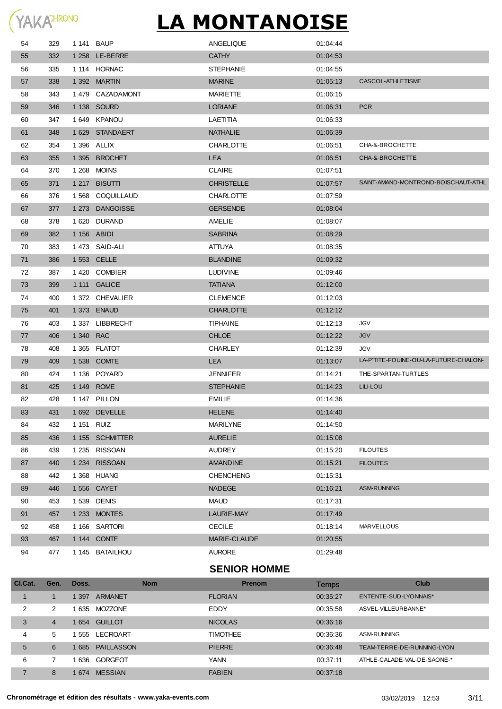| 54 | 329 |            | 1 141 BAUP      | ANGELIQUE         | 01:04:44 |                                       |
|----|-----|------------|-----------------|-------------------|----------|---------------------------------------|
| 55 | 332 |            | 1 258 LE-BERRE  | <b>CATHY</b>      | 01:04:53 |                                       |
| 56 | 335 |            | 1 114 HORNAC    | <b>STEPHANIE</b>  | 01:04:55 |                                       |
| 57 | 338 |            | 1 392 MARTIN    | <b>MARINE</b>     | 01:05:13 | CASCOL-ATHLETISME                     |
| 58 | 343 |            | 1479 CAZADAMONT | <b>MARIETTE</b>   | 01:06:15 |                                       |
| 59 | 346 |            | 1 138 SOURD     | <b>LORIANE</b>    | 01:06:31 | <b>PCR</b>                            |
| 60 | 347 |            | 1649 KPANOU     | LAETITIA          | 01:06:33 |                                       |
| 61 | 348 |            | 1629 STANDAERT  | <b>NATHALIE</b>   | 01:06:39 |                                       |
| 62 | 354 |            | 1 396 ALLIX     | <b>CHARLOTTE</b>  | 01:06:51 | CHA-&-BROCHETTE                       |
| 63 | 355 |            | 1 395 BROCHET   | <b>LEA</b>        | 01:06:51 | CHA-&-BROCHETTE                       |
| 64 | 370 |            | 1 268 MOINS     | <b>CLAIRE</b>     | 01:07:51 |                                       |
| 65 | 371 |            | 1 217 BISUTTI   | <b>CHRISTELLE</b> | 01:07:57 | SAINT-AMAND-MONTROND-BOISCHAUT-ATHL   |
| 66 | 376 |            | 1568 COQUILLAUD | <b>CHARLOTTE</b>  | 01:07:59 |                                       |
| 67 | 377 |            | 1 273 DANGOISSE | <b>GERSENDE</b>   | 01:08:04 |                                       |
| 68 | 378 |            | 1 620 DURAND    | AMELIE            | 01:08:07 |                                       |
| 69 | 382 |            | 1 156 ABIDI     | <b>SABRINA</b>    | 01:08:29 |                                       |
| 70 | 383 |            | 1473 SAID-ALI   | <b>ATTUYA</b>     | 01:08:35 |                                       |
| 71 | 386 |            | 1 553 CELLE     | <b>BLANDINE</b>   | 01:09:32 |                                       |
| 72 | 387 |            | 1420 COMBIER    | <b>LUDIVINE</b>   | 01:09:46 |                                       |
| 73 | 399 |            | 1 111 GALICE    | <b>TATIANA</b>    | 01:12:00 |                                       |
| 74 | 400 |            | 1 372 CHEVALIER | <b>CLEMENCE</b>   | 01:12:03 |                                       |
| 75 | 401 |            | 1 373 ENAUD     | <b>CHARLOTTE</b>  | 01:12:12 |                                       |
| 76 | 403 |            | 1 337 LIBBRECHT | <b>TIPHAINE</b>   | 01:12:13 | JGV                                   |
| 77 | 406 | 1 340 RAC  |                 | <b>CHLOE</b>      | 01:12:22 | <b>JGV</b>                            |
| 78 | 408 |            | 1 365 FLATOT    | <b>CHARLEY</b>    | 01:12:39 | JGV                                   |
| 79 | 409 |            | 1 538 COMTE     | <b>LEA</b>        | 01:13:07 | LA-P'TITE-FOUINE-OU-LA-FUTURE-CHALON- |
| 80 | 424 |            | 1 136 POYARD    | <b>JENNIFER</b>   | 01:14:21 | THE-SPARTAN-TURTLES                   |
| 81 | 425 |            | 1 149 ROME      | <b>STEPHANIE</b>  | 01:14:23 | <b>LILI-LOU</b>                       |
| 82 | 428 |            | 1 147 PILLON    | <b>EMILIE</b>     | 01:14:36 |                                       |
| 83 | 431 |            | 1 692 DEVELLE   | <b>HELENE</b>     | 01:14:40 |                                       |
| 84 | 432 | 1 151 RUIZ |                 | <b>MARILYNE</b>   | 01:14:50 |                                       |
| 85 | 436 |            | 1 155 SCHMITTER | <b>AURELIE</b>    | 01:15:08 |                                       |
| 86 | 439 |            | 1 235 RISSOAN   | <b>AUDREY</b>     | 01:15:20 | <b>FILOUTES</b>                       |
| 87 | 440 |            | 1 234 RISSOAN   | <b>AMANDINE</b>   | 01:15:21 | <b>FILOUTES</b>                       |
| 88 | 442 |            | 1 368 HUANG     | <b>CHENCHENG</b>  | 01:15:31 |                                       |
| 89 | 446 |            | 1 556 CAYET     | <b>NADEGE</b>     | 01:16:21 | <b>ASM-RUNNING</b>                    |
| 90 | 453 |            | 1 539 DENIS     | MAUD              | 01:17:31 |                                       |
| 91 | 457 |            | 1 233 MONTES    | LAURIE-MAY        | 01:17:49 |                                       |
| 92 | 458 |            | 1 166 SARTORI   | <b>CECILE</b>     | 01:18:14 | <b>MARVELLOUS</b>                     |
| 93 | 467 |            | 1 144 CONTE     | MARIE-CLAUDE      | 01:20:55 |                                       |
| 94 | 477 |            | 1 145 BATAILHOU | <b>AURORE</b>     | 01:29:48 |                                       |

### **SENIOR HOMME**

| CI.Cat. | Gen. | Doss. | <b>Nom</b>        | <b>Prenom</b>   | Temps    | Club                        |
|---------|------|-------|-------------------|-----------------|----------|-----------------------------|
|         |      | 397   | <b>ARMANET</b>    | <b>FLORIAN</b>  | 00:35:27 | ENTENTE-SUD-LYONNAIS*       |
| 2       | 2    | 635   | <b>MOZZONE</b>    | EDDY            | 00:35:58 | ASVEL-VILLEURBANNE*         |
| 3       | 4    | 654   | <b>GUILLOT</b>    | <b>NICOLAS</b>  | 00:36:16 |                             |
| 4       | 5    | 555   | LECROART          | <b>TIMOTHEE</b> | 00:36:36 | ASM-RUNNING                 |
| 5       | 6    | 685   | <b>PAILLASSON</b> | <b>PIERRE</b>   | 00:36:48 | TEAM-TERRE-DE-RUNNING-LYON  |
| 6       |      | 636   | GORGEOT           | <b>YANN</b>     | 00:37:11 | ATHLE-CALADE-VAL-DE-SAONE-* |
|         | 8    | 674   | <b>MESSIAN</b>    | <b>FABIEN</b>   | 00:37:18 |                             |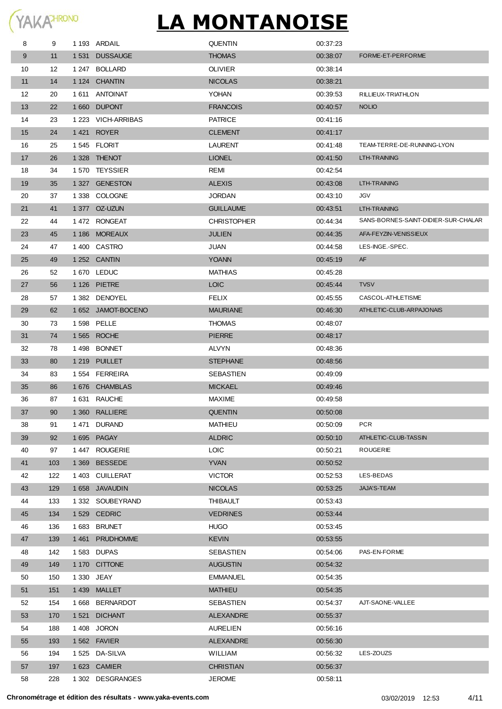| 8  | 9   | 1 193 ARDAIL       | <b>QUENTIN</b>     | 00:37:23 |                                     |
|----|-----|--------------------|--------------------|----------|-------------------------------------|
| 9  | 11  | 1531 DUSSAUGE      | <b>THOMAS</b>      | 00:38:07 | FORME-ET-PERFORME                   |
| 10 | 12  | 1 247 BOLLARD      | <b>OLIVIER</b>     | 00:38:14 |                                     |
| 11 | 14  | 1 124 CHANTIN      | <b>NICOLAS</b>     | 00:38:21 |                                     |
| 12 | 20  | 1611 ANTOINAT      | YOHAN              | 00:39:53 | RILLIEUX-TRIATHLON                  |
| 13 | 22  | 1660 DUPONT        | <b>FRANCOIS</b>    | 00:40:57 | <b>NOLIO</b>                        |
| 14 | 23  | 1 223 VICH-ARRIBAS | <b>PATRICE</b>     | 00:41:16 |                                     |
| 15 | 24  | 1421 ROYER         | <b>CLEMENT</b>     | 00:41:17 |                                     |
| 16 | 25  | 1545 FLORIT        | <b>LAURENT</b>     | 00:41:48 | TEAM-TERRE-DE-RUNNING-LYON          |
| 17 | 26  | 1328 THENOT        | <b>LIONEL</b>      | 00:41:50 | LTH-TRAINING                        |
| 18 | 34  | 1570 TEYSSIER      | REMI               | 00:42:54 |                                     |
| 19 | 35  | 1 327 GENESTON     | <b>ALEXIS</b>      | 00:43:08 | LTH-TRAINING                        |
| 20 | 37  | 1 338 COLOGNE      | <b>JORDAN</b>      | 00:43:10 | <b>JGV</b>                          |
| 21 | 41  | 1 377 OZ-UZUN      | <b>GUILLAUME</b>   | 00:43:51 | LTH-TRAINING                        |
| 22 | 44  | 1472 RONGEAT       | <b>CHRISTOPHER</b> | 00:44:34 | SANS-BORNES-SAINT-DIDIER-SUR-CHALAR |
| 23 | 45  | 1 186 MOREAUX      | <b>JULIEN</b>      | 00:44:35 | AFA-FEYZIN-VENISSIEUX               |
| 24 | 47  | 1400 CASTRO        | JUAN               | 00:44:58 | LES-INGE.-SPEC.                     |
| 25 | 49  | 1 252 CANTIN       | <b>YOANN</b>       | 00:45:19 | AF                                  |
| 26 | 52  | 1670 LEDUC         | <b>MATHIAS</b>     | 00:45:28 |                                     |
| 27 | 56  | 1 126 PIETRE       | <b>LOIC</b>        | 00:45:44 | <b>TVSV</b>                         |
| 28 | 57  | 1 382 DENOYEL      | FELIX              | 00:45:55 | CASCOL-ATHLETISME                   |
| 29 | 62  | 1 652 JAMOT-BOCENO | <b>MAURIANE</b>    | 00:46:30 | ATHLETIC-CLUB-ARPAJONAIS            |
| 30 | 73  | 1 598 PELLE        | <b>THOMAS</b>      | 00:48:07 |                                     |
| 31 | 74  | 1 565 ROCHE        | <b>PIERRE</b>      | 00:48:17 |                                     |
| 32 | 78  | 1498 BONNET        | ALVYN              | 00:48:36 |                                     |
| 33 | 80  | 1 219 PUILLET      | <b>STEPHANE</b>    | 00:48:56 |                                     |
| 34 | 83  | 1554 FERREIRA      | SEBASTIEN          | 00:49:09 |                                     |
| 35 | 86  | 1676 CHAMBLAS      | <b>MICKAEL</b>     | 00:49:46 |                                     |
| 36 | 87  | 1631 RAUCHE        | MAXIME             | 00:49:58 |                                     |
| 37 | 90  | 1 360 RALLIERE     | <b>QUENTIN</b>     | 00:50:08 |                                     |
| 38 | 91  | 1471 DURAND        | <b>MATHIEU</b>     | 00:50:09 | <b>PCR</b>                          |
| 39 | 92  | 1695 PAGAY         | <b>ALDRIC</b>      | 00:50:10 | ATHLETIC-CLUB-TASSIN                |
| 40 | 97  | 1447 ROUGERIE      | <b>LOIC</b>        | 00:50:21 | ROUGERIE                            |
| 41 | 103 | 1 369 BESSEDE      | <b>YVAN</b>        | 00:50:52 |                                     |
| 42 | 122 | 1 403 CUILLERAT    | <b>VICTOR</b>      | 00:52:53 | LES-BEDAS                           |
| 43 | 129 | 1 658 JAVAUDIN     | <b>NICOLAS</b>     | 00:53:25 | JAJA'S-TEAM                         |
| 44 | 133 | 1 332 SOUBEYRAND   | THIBAULT           | 00:53:43 |                                     |
| 45 | 134 | 1529 CEDRIC        | <b>VEDRINES</b>    | 00:53:44 |                                     |
| 46 | 136 | 1683 BRUNET        | <b>HUGO</b>        | 00:53:45 |                                     |
| 47 | 139 | 1 461 PRUDHOMME    | <b>KEVIN</b>       | 00:53:55 |                                     |
| 48 | 142 | 1583 DUPAS         | SEBASTIEN          | 00:54:06 | PAS-EN-FORME                        |
| 49 | 149 | 1 170 CITTONE      | <b>AUGUSTIN</b>    | 00:54:32 |                                     |
| 50 | 150 | 1 330 JEAY         | <b>EMMANUEL</b>    | 00:54:35 |                                     |
| 51 | 151 | 1439 MALLET        | <b>MATHIEU</b>     | 00:54:35 |                                     |
| 52 | 154 | 1668 BERNARDOT     | SEBASTIEN          | 00:54:37 | AJT-SAONE-VALLEE                    |
| 53 | 170 | 1521 DICHANT       | ALEXANDRE          | 00:55:37 |                                     |
| 54 | 188 | 1408 JORON         | <b>AURELIEN</b>    | 00:56:16 |                                     |
| 55 | 193 | 1562 FAVIER        | <b>ALEXANDRE</b>   | 00:56:30 |                                     |
| 56 | 194 | 1 525 DA-SILVA     | WILLIAM            | 00:56:32 | LES-ZOUZS                           |
| 57 | 197 | 1623 CAMIER        | <b>CHRISTIAN</b>   | 00:56:37 |                                     |
| 58 | 228 | 1 302 DESGRANGES   | <b>JEROME</b>      | 00:58:11 |                                     |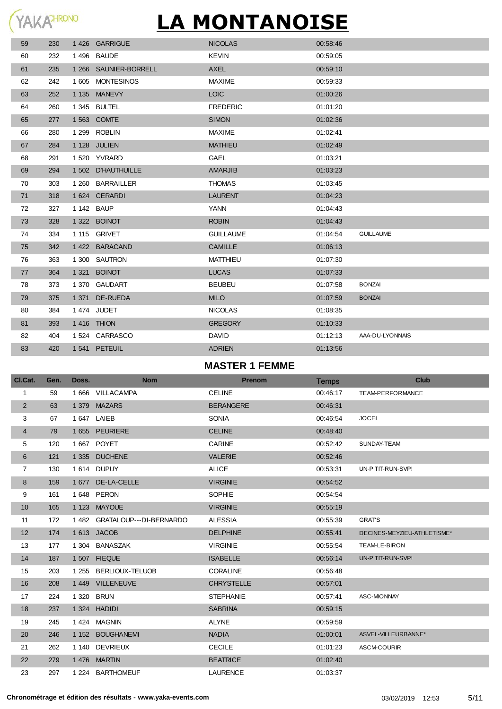| 59 | 230 | 1426 GARRIGUE         | <b>NICOLAS</b>   | 00:58:46 |                  |
|----|-----|-----------------------|------------------|----------|------------------|
| 60 | 232 | 1496 BAUDE            | <b>KEVIN</b>     | 00:59:05 |                  |
| 61 | 235 | 1 266 SAUNIER-BORRELL | <b>AXEL</b>      | 00:59:10 |                  |
| 62 | 242 | 1605 MONTESINOS       | <b>MAXIME</b>    | 00:59:33 |                  |
| 63 | 252 | 1 135 MANEVY          | LOIC             | 01:00:26 |                  |
| 64 | 260 | 1 345 BULTEL          | <b>FREDERIC</b>  | 01:01:20 |                  |
| 65 | 277 | 1 563 COMTE           | <b>SIMON</b>     | 01:02:36 |                  |
| 66 | 280 | 1 299 ROBLIN          | <b>MAXIME</b>    | 01:02:41 |                  |
| 67 | 284 | 1 128 JULIEN          | <b>MATHIEU</b>   | 01:02:49 |                  |
| 68 | 291 | 1520 YVRARD           | <b>GAEL</b>      | 01:03:21 |                  |
| 69 | 294 | 1 502 D'HAUTHUILLE    | <b>AMARJIB</b>   | 01:03:23 |                  |
| 70 | 303 | 1 260 BARRAILLER      | <b>THOMAS</b>    | 01:03:45 |                  |
| 71 | 318 | 1 624 CERARDI         | <b>LAURENT</b>   | 01:04:23 |                  |
| 72 | 327 | 1 142 BAUP            | <b>YANN</b>      | 01:04:43 |                  |
| 73 | 328 | 1 322 BOINOT          | <b>ROBIN</b>     | 01:04:43 |                  |
| 74 | 334 | 1 115 GRIVET          | <b>GUILLAUME</b> | 01:04:54 | <b>GUILLAUME</b> |
| 75 | 342 | 1422 BARACAND         | <b>CAMILLE</b>   | 01:06:13 |                  |
| 76 | 363 | 1 300 SAUTRON         | <b>MATTHIEU</b>  | 01:07:30 |                  |
| 77 | 364 | 1 321 BOINOT          | <b>LUCAS</b>     | 01:07:33 |                  |
| 78 | 373 | 1 370 GAUDART         | <b>BEUBEU</b>    | 01:07:58 | <b>BONZAI</b>    |
| 79 | 375 | 1371 DE-RUEDA         | <b>MILO</b>      | 01:07:59 | <b>BONZAI</b>    |
| 80 | 384 | 1474 JUDET            | <b>NICOLAS</b>   | 01:08:35 |                  |
| 81 | 393 | 1416 THION            | <b>GREGORY</b>   | 01:10:33 |                  |
| 82 | 404 | 1524 CARRASCO         | <b>DAVID</b>     | 01:12:13 | AAA-DU-LYONNAIS  |
| 83 | 420 | 1541 PETEUIL          | <b>ADRIEN</b>    | 01:13:56 |                  |
|    |     |                       |                  |          |                  |

### **MASTER 1 FEMME**

| CI.Cat.        | Gen. | Doss.   | <b>Nom</b>              | <b>Prenom</b>     | Temps    | <b>Club</b>                 |
|----------------|------|---------|-------------------------|-------------------|----------|-----------------------------|
| 1              | 59   |         | 1666 VILLACAMPA         | <b>CELINE</b>     | 00:46:17 | TEAM-PERFORMANCE            |
| $\overline{2}$ | 63   |         | 1379 MAZARS             | <b>BERANGERE</b>  | 00:46:31 |                             |
| 3              | 67   |         | 1 647 LAIEB             | <b>SONIA</b>      | 00:46:54 | <b>JOCEL</b>                |
| 4              | 79   |         | 1 655 PEURIERE          | <b>CELINE</b>     | 00:48:40 |                             |
| 5              | 120  |         | 1 667 POYET             | <b>CARINE</b>     | 00:52:42 | SUNDAY-TEAM                 |
| 6              | 121  |         | 1 335 DUCHENE           | <b>VALERIE</b>    | 00:52:46 |                             |
| $\overline{7}$ | 130  |         | 1614 DUPUY              | <b>ALICE</b>      | 00:53:31 | UN-P'TIT-RUN-SVP!           |
| 8              | 159  |         | 1 677 DE-LA-CELLE       | <b>VIRGINIE</b>   | 00:54:52 |                             |
| 9              | 161  |         | 1 648 PERON             | <b>SOPHIE</b>     | 00:54:54 |                             |
| 10             | 165  | 1 1 2 3 | <b>MAYOUE</b>           | <b>VIRGINIE</b>   | 00:55:19 |                             |
| 11             | 172  | 1 4 8 2 | GRATALOUP---DI-BERNARDO | <b>ALESSIA</b>    | 00:55:39 | <b>GRAT'S</b>               |
| 12             | 174  |         | 1613 JACOB              | <b>DELPHINE</b>   | 00:55:41 | DECINES-MEYZIEU-ATHLETISME* |
| 13             | 177  | 1 304   | <b>BANASZAK</b>         | <b>VIRGINIE</b>   | 00:55:54 | TEAM-LE-BIRON               |
| 14             | 187  |         | 1507 FIEQUE             | <b>ISABELLE</b>   | 00:56:14 | UN-P'TIT-RUN-SVP!           |
| 15             | 203  | 1 2 5 5 | BERLIOUX-TELUOB         | <b>CORALINE</b>   | 00:56:48 |                             |
| 16             | 208  |         | 1 449 VILLENEUVE        | <b>CHRYSTELLE</b> | 00:57:01 |                             |
| 17             | 224  | 1 3 2 0 | <b>BRUN</b>             | <b>STEPHANIE</b>  | 00:57:41 | ASC-MIONNAY                 |
| 18             | 237  | 1 3 2 4 | <b>HADIDI</b>           | <b>SABRINA</b>    | 00:59:15 |                             |
| 19             | 245  | 1424    | <b>MAGNIN</b>           | <b>ALYNE</b>      | 00:59:59 |                             |
| 20             | 246  | 1 1 5 2 | <b>BOUGHANEMI</b>       | <b>NADIA</b>      | 01:00:01 | ASVEL-VILLEURBANNE*         |
| 21             | 262  | 1 140   | DEVRIEUX                | <b>CECILE</b>     | 01:01:23 | <b>ASCM-COURIR</b>          |
| 22             | 279  |         | 1476 MARTIN             | <b>BEATRICE</b>   | 01:02:40 |                             |
| 23             | 297  | 1 2 2 4 | <b>BARTHOMEUF</b>       | <b>LAURENCE</b>   | 01:03:37 |                             |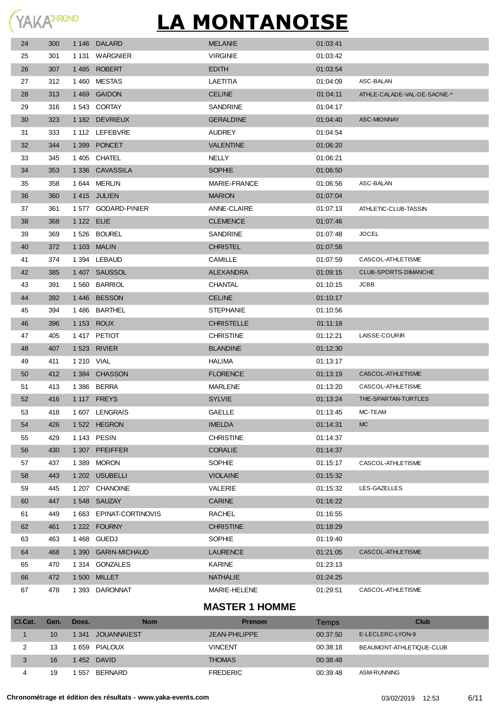| 24 | 300 |            | 1 146 DALARD            | <b>MELANIE</b>    | 01:03:41 |                             |
|----|-----|------------|-------------------------|-------------------|----------|-----------------------------|
| 25 | 301 |            | 1 131 WARGNIER          | <b>VIRGINIE</b>   | 01:03:42 |                             |
| 26 | 307 |            | 1485 ROBERT             | <b>EDITH</b>      | 01:03:54 |                             |
| 27 | 312 |            | 1460 MESTAS             | LAETITIA          | 01:04:09 | ASC-BALAN                   |
| 28 | 313 |            | 1 469 GAIDON            | <b>CELINE</b>     | 01:04:11 | ATHLE-CALADE-VAL-DE-SAONE-* |
| 29 | 316 |            | 1543 CORTAY             | SANDRINE          | 01:04:17 |                             |
| 30 | 323 |            | 1 182 DEVRIEUX          | <b>GERALDINE</b>  | 01:04:40 | <b>ASC-MIONNAY</b>          |
| 31 | 333 |            | 1 112 LEFEBVRE          | <b>AUDREY</b>     | 01:04:54 |                             |
| 32 | 344 |            | 1399 PONCET             | <b>VALENTINE</b>  | 01:06:20 |                             |
| 33 | 345 |            | 1405 CHATEL             | <b>NELLY</b>      | 01:06:21 |                             |
| 34 | 353 |            | 1 336 CAVASSILA         | <b>SOPHIE</b>     | 01:06:50 |                             |
| 35 | 358 |            | 1644 MERLIN             | MARIE-FRANCE      | 01:06:56 | ASC-BALAN                   |
| 36 | 360 |            | 1415 JULIEN             | <b>MARION</b>     | 01:07:04 |                             |
| 37 | 361 |            | 1577 GODARD-PINIER      | ANNE-CLAIRE       | 01:07:13 | ATHLETIC-CLUB-TASSIN        |
| 38 | 368 | 1 122 ELIE |                         | <b>CLEMENCE</b>   | 01:07:46 |                             |
| 39 | 369 |            | 1526 BOUREL             | <b>SANDRINE</b>   | 01:07:48 | <b>JOCEL</b>                |
| 40 | 372 |            | 1 103 MALIN             | <b>CHRISTEL</b>   | 01:07:58 |                             |
| 41 | 374 |            | 1394 LEBAUD             | <b>CAMILLE</b>    | 01:07:59 | CASCOL-ATHLETISME           |
| 42 | 385 |            | 1 407 SAUSSOL           | <b>ALEXANDRA</b>  | 01:09:15 | CLUB-SPORTS-DIMANCHE        |
| 43 | 391 |            | 1560 BARRIOL            | CHANTAL           | 01:10:15 | JCBB                        |
| 44 | 392 |            | 1446 BESSON             | <b>CELINE</b>     | 01:10:17 |                             |
| 45 | 394 |            | 1486 BARTHEL            | STEPHANIE         | 01:10:56 |                             |
| 46 | 396 |            | 1 153 ROUX              | <b>CHRISTELLE</b> | 01:11:18 |                             |
| 47 | 405 |            | 1417 PETIOT             | <b>CHRISTINE</b>  | 01:12:21 | LAISSE-COURIR               |
| 48 | 407 |            | 1 523 RIVIER            | <b>BLANDINE</b>   | 01:12:30 |                             |
| 49 | 411 | 1 210 VIAL |                         | HALIMA            | 01:13:17 |                             |
| 50 | 412 |            | 1384 CHASSON            | <b>FLORENCE</b>   | 01:13:19 | CASCOL-ATHLETISME           |
| 51 | 413 |            | 1 386 BERRA             | <b>MARLENE</b>    | 01:13:20 | CASCOL-ATHLETISME           |
| 52 | 416 |            | 1 117 FREYS             | <b>SYLVIE</b>     | 01:13:24 | THE-SPARTAN-TURTLES         |
| 53 | 418 |            | 1607 LENGRAIS           | <b>GAELLE</b>     | 01:13:45 | MC-TEAM                     |
| 54 | 426 |            | 1522 HEGRON             | <b>IMELDA</b>     | 01:14:31 | <b>MC</b>                   |
| 55 | 429 |            | 1 143 PESIN             | <b>CHRISTINE</b>  | 01:14:37 |                             |
| 56 | 430 |            | 1 307 PFEIFFER          | <b>CORALIE</b>    | 01:14:37 |                             |
| 57 | 437 |            | 1389 MORON              | SOPHIE            | 01:15:17 | CASCOL-ATHLETISME           |
| 58 | 443 |            | 1 202 USUBELLI          | <b>VIOLAINE</b>   | 01:15:32 |                             |
| 59 | 445 |            | 1 207 CHANOINE          | VALERIE           | 01:15:32 | LES-GAZELLES                |
| 60 | 447 |            | 1548 SAUZAY             | <b>CARINE</b>     | 01:16:22 |                             |
| 61 | 449 |            | 1 663 EPINAT-CORTINOVIS | <b>RACHEL</b>     | 01:16:55 |                             |
| 62 | 461 |            | 1 222 FOURNY            | <b>CHRISTINE</b>  | 01:18:29 |                             |
| 63 | 463 |            | 1468 GUEDJ              | SOPHIE            | 01:19:40 |                             |
| 64 | 468 |            | 1 390 GARIN-MICHAUD     | <b>LAURENCE</b>   | 01:21:05 | CASCOL-ATHLETISME           |
| 65 | 470 |            | 1 314 GONZALES          | <b>KARINE</b>     | 01:23:13 |                             |
| 66 | 472 |            | 1 500 MILLET            | <b>NATHALIE</b>   | 01:24:25 |                             |
| 67 | 478 |            | 1 393 DARONNAT          | MARIE-HELENE      | 01:29:51 | CASCOL-ATHLETISME           |

### **MASTER 1 HOMME**

| CI.Cat. | Gen.            | Doss. | <b>Nom</b>       | <b>Prenom</b>        | Temps    | Club                     |
|---------|-----------------|-------|------------------|----------------------|----------|--------------------------|
|         | 10 <sup>1</sup> |       | 1341 JOUANNAIEST | <b>JEAN-PHILIPPE</b> | 00:37:50 | E-LECLERC-LYON-9         |
|         | 13              |       | 1659 PIALOUX     | <b>VINCENT</b>       | 00:38:18 | BEAUMONT-ATHLETIQUE-CLUB |
|         | 16              |       | 1452 DAVID       | <b>THOMAS</b>        | 00.38.48 |                          |
|         | 19              | 557   | BERNARD          | <b>FREDERIC</b>      | 00:39:48 | ASM-RUNNING              |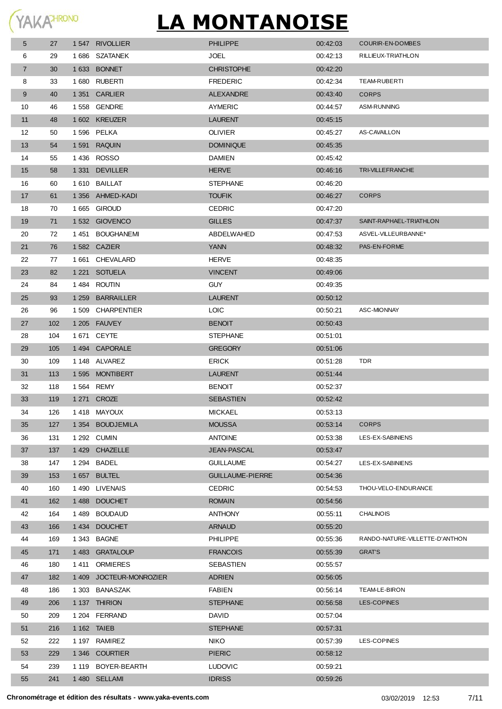| 5              | 27  | 1547 RIVOLLIER          | <b>PHILIPPE</b>         | 00:42:03 | COURIR-EN-DOMBES               |
|----------------|-----|-------------------------|-------------------------|----------|--------------------------------|
| 6              | 29  | 1686 SZATANEK           | <b>JOEL</b>             | 00:42:13 | RILLIEUX-TRIATHLON             |
| $\overline{7}$ | 30  | 1 633 BONNET            | <b>CHRISTOPHE</b>       | 00:42:20 |                                |
| 8              | 33  | 1680 RUBERTI            | <b>FREDERIC</b>         | 00:42:34 | TEAM-RUBERTI                   |
| 9              | 40  | 1 351 CARLIER           | <b>ALEXANDRE</b>        | 00:43:40 | <b>CORPS</b>                   |
| 10             | 46  | 1558 GENDRE             | AYMERIC                 | 00:44:57 | ASM-RUNNING                    |
| 11             | 48  | 1602 KREUZER            | <b>LAURENT</b>          | 00:45:15 |                                |
| 12             | 50  | 1596 PELKA              | <b>OLIVIER</b>          | 00:45:27 | AS-CAVAILLON                   |
| 13             | 54  | 1591 RAQUIN             | <b>DOMINIQUE</b>        | 00:45:35 |                                |
| 14             | 55  | 1436 ROSSO              | <b>DAMIEN</b>           | 00:45:42 |                                |
| 15             | 58  | 1 331 DEVILLER          | <b>HERVE</b>            | 00:46:16 | TRI-VILLEFRANCHE               |
| 16             | 60  | 1610 BAILLAT            | <b>STEPHANE</b>         | 00:46:20 |                                |
| 17             | 61  | 1 356 AHMED-KADI        | <b>TOUFIK</b>           | 00:46:27 | <b>CORPS</b>                   |
| 18             | 70  | 1665 GIROUD             | <b>CEDRIC</b>           | 00:47:20 |                                |
| 19             | 71  | 1532 GIOVENCO           | <b>GILLES</b>           | 00:47:37 | SAINT-RAPHAEL-TRIATHLON        |
| 20             | 72  | 1451 BOUGHANEMI         | ABDELWAHED              | 00:47:53 | ASVEL-VILLEURBANNE*            |
| 21             | 76  | 1582 CAZIER             | <b>YANN</b>             | 00:48:32 | PAS-EN-FORME                   |
| 22             | 77  | 1661 CHEVALARD          | <b>HERVE</b>            | 00:48:35 |                                |
| 23             | 82  | 1 221 SOTUELA           | <b>VINCENT</b>          | 00:49:06 |                                |
| 24             | 84  | 1484 ROUTIN             | <b>GUY</b>              | 00:49:35 |                                |
| 25             | 93  | 1 259 BARRAILLER        | <b>LAURENT</b>          | 00:50:12 |                                |
| 26             | 96  | 1 509 CHARPENTIER       | <b>LOIC</b>             | 00:50:21 | ASC-MIONNAY                    |
| 27             | 102 | 1 205 FAUVEY            | <b>BENOIT</b>           | 00:50:43 |                                |
| 28             | 104 | 1 671 CEYTE             | <b>STEPHANE</b>         | 00.51:01 |                                |
| 29             | 105 | 1494 CAPORALE           | <b>GREGORY</b>          | 00:51:06 |                                |
| 30             | 109 | 1 148 ALVAREZ           | <b>ERICK</b>            | 00.51:28 | <b>TDR</b>                     |
| 31             | 113 | 1595 MONTIBERT          | <b>LAURENT</b>          | 00:51:44 |                                |
| 32             | 118 | 1 564 REMY              | <b>BENOIT</b>           | 00:52:37 |                                |
| 33             | 119 | 1 271 CROZE             | <b>SEBASTIEN</b>        | 00:52:42 |                                |
| 34             | 126 | 1418 MAYOUX             | <b>MICKAEL</b>          | 00.53.13 |                                |
| 35             | 127 | 1 354 BOUDJEMILA        | <b>MOUSSA</b>           | 00:53:14 | <b>CORPS</b>                   |
| 36             | 131 | 1 292 CUMIN             | <b>ANTOINE</b>          | 00:53:38 | LES-EX-SABINIENS               |
| 37             | 137 | 1429 CHAZELLE           | <b>JEAN-PASCAL</b>      | 00:53:47 |                                |
| 38             | 147 | 1 294 BADEL             | <b>GUILLAUME</b>        | 00:54:27 | LES-EX-SABINIENS               |
| 39             | 153 | 1657 BULTEL             | <b>GUILLAUME-PIERRE</b> | 00:54:36 |                                |
| 40             | 160 | 1490 LIVENAIS           | <b>CEDRIC</b>           | 00:54:53 | THOU-VELO-ENDURANCE            |
| 41             | 162 | 1488 DOUCHET            | <b>ROMAIN</b>           | 00:54:56 |                                |
| 42             | 164 | 1 489 BOUDAUD           | <b>ANTHONY</b>          | 00:55:11 | <b>CHALINOIS</b>               |
| 43             | 166 | 1434 DOUCHET            | <b>ARNAUD</b>           | 00:55:20 |                                |
| 44             | 169 | 1 343 BAGNE             | <b>PHILIPPE</b>         | 00:55:36 | RANDO-NATURE-VILLETTE-D'ANTHON |
| 45             | 171 | 1483 GRATALOUP          | <b>FRANCOIS</b>         | 00:55:39 | <b>GRAT'S</b>                  |
| 46             | 180 | 1411 ORMIERES           | SEBASTIEN               | 00:55:57 |                                |
| 47             | 182 | 1 409 JOCTEUR-MONROZIER | <b>ADRIEN</b>           | 00:56:05 |                                |
| 48             | 186 | 1 303 BANASZAK          | <b>FABIEN</b>           | 00:56:14 | TEAM-LE-BIRON                  |
| 49             | 206 | 1 137 THIRION           | <b>STEPHANE</b>         | 00:56:58 | LES-COPINES                    |
| 50             | 209 | 1 204 FERRAND           | <b>DAVID</b>            | 00:57:04 |                                |
| 51             | 216 | 1 162 TAIEB             | <b>STEPHANE</b>         | 00:57:31 |                                |
| 52             | 222 | 1 197 RAMIREZ           | <b>NIKO</b>             | 00:57:39 | LES-COPINES                    |
| 53             | 229 | 1 346 COURTIER          | <b>PIERIC</b>           | 00:58:12 |                                |
| 54             | 239 | 1 119 BOYER-BEARTH      | <b>LUDOVIC</b>          | 00:59:21 |                                |
| 55             | 241 | 1480 SELLAMI            | <b>IDRISS</b>           | 00:59:26 |                                |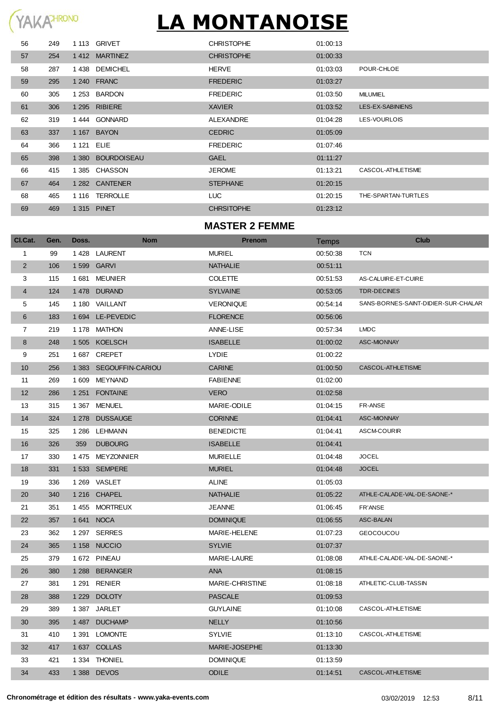| 56 | 249 |            | 1 113 GRIVET      | <b>CHRISTOPHE</b> | 01:00:13 |                     |
|----|-----|------------|-------------------|-------------------|----------|---------------------|
| 57 | 254 |            | 1412 MARTINEZ     | <b>CHRISTOPHE</b> | 01:00:33 |                     |
| 58 | 287 | 1438       | DEMICHEL          | <b>HERVE</b>      | 01:03:03 | POUR-CHLOE          |
| 59 | 295 |            | 1 240 FRANC       | <b>FREDERIC</b>   | 01:03:27 |                     |
| 60 | 305 |            | 1 253 BARDON      | <b>FREDERIC</b>   | 01:03:50 | <b>MILUMIEL</b>     |
| 61 | 306 |            | 1 295 RIBIERE     | <b>XAVIER</b>     | 01:03:52 | LES-EX-SABINIENS    |
| 62 | 319 |            | 1444 GONNARD      | ALEXANDRE         | 01:04:28 | LES-VOURLOIS        |
| 63 | 337 |            | 1 167 BAYON       | <b>CEDRIC</b>     | 01:05:09 |                     |
| 64 | 366 | 1 121 ELIE |                   | <b>FREDERIC</b>   | 01:07:46 |                     |
| 65 | 398 |            | 1 380 BOURDOISEAU | <b>GAEL</b>       | 01:11:27 |                     |
| 66 | 415 |            | 1385 CHASSON      | <b>JEROME</b>     | 01:13:21 | CASCOL-ATHLETISME   |
| 67 | 464 |            | 1 282 CANTENER    | <b>STEPHANE</b>   | 01:20:15 |                     |
| 68 | 465 |            | 1 116 TERROLLE    | <b>LUC</b>        | 01:20:15 | THE-SPARTAN-TURTLES |
| 69 | 469 |            | 1 315 PINET       | <b>CHRSITOPHE</b> | 01:23:12 |                     |
|    |     |            |                   |                   |          |                     |

#### **MASTER 2 FEMME**

| CI.Cat.        | Gen. | Doss.   | <b>Nom</b>            | <b>Prenom</b>      | Temps    | Club                                |
|----------------|------|---------|-----------------------|--------------------|----------|-------------------------------------|
| 1              | 99   |         | 1428 LAURENT          | <b>MURIEL</b>      | 00:50:38 | <b>TCN</b>                          |
| $\overline{2}$ | 106  |         | 1 599 GARVI           | <b>NATHALIE</b>    | 00:51:11 |                                     |
| 3              | 115  | 1 681   | MEUNIER               | <b>COLETTE</b>     | 00:51:53 | AS-CALUIRE-ET-CUIRE                 |
| $\overline{4}$ | 124  |         | 1478 DURAND           | <b>SYLVAINE</b>    | 00:53:05 | <b>TDR-DECINES</b>                  |
| 5              | 145  |         | 1 180 VAILLANT        | <b>VERONIQUE</b>   | 00:54:14 | SANS-BORNES-SAINT-DIDIER-SUR-CHALAR |
| 6              | 183  |         | 1 694 LE-PEVEDIC      | <b>FLORENCE</b>    | 00:56:06 |                                     |
| $\overline{7}$ | 219  |         | 1 178 MATHON          | ANNE-LISE          | 00:57:34 | <b>LMDC</b>                         |
| 8              | 248  |         | 1505 KOELSCH          | <b>ISABELLE</b>    | 01:00:02 | <b>ASC-MIONNAY</b>                  |
| 9              | 251  |         | 1687 CREPET           | <b>LYDIE</b>       | 01:00:22 |                                     |
| 10             | 256  |         | 1383 SEGOUFFIN-CARIOU | <b>CARINE</b>      | 01:00:50 | CASCOL-ATHLETISME                   |
| 11             | 269  | 1 609   | MEYNAND               | <b>FABIENNE</b>    | 01:02:00 |                                     |
| 12             | 286  |         | 1 251 FONTAINE        | <b>VERO</b>        | 01:02:58 |                                     |
| 13             | 315  |         | 1 367 MENUEL          | MARIE-ODILE        | 01:04:15 | FR-ANSE                             |
| 14             | 324  |         | 1 278 DUSSAUGE        | <b>CORINNE</b>     | 01:04:41 | <b>ASC-MIONNAY</b>                  |
| 15             | 325  |         | 1 286 LEHMANN         | <b>BENEDICTE</b>   | 01:04:41 | ASCM-COURIR                         |
| 16             | 326  | 359     | <b>DUBOURG</b>        | <b>ISABELLE</b>    | 01:04:41 |                                     |
| 17             | 330  |         | 1475 MEYZONNIER       | <b>MURIELLE</b>    | 01:04:48 | <b>JOCEL</b>                        |
| 18             | 331  |         | 1533 SEMPERE          | <b>MURIEL</b>      | 01:04:48 | <b>JOCEL</b>                        |
| 19             | 336  |         | 1 269 VASLET          | <b>ALINE</b>       | 01:05:03 |                                     |
| 20             | 340  |         | 1 216 CHAPEL          | <b>NATHALIE</b>    | 01:05:22 | ATHLE-CALADE-VAL-DE-SAONE-*         |
| 21             | 351  |         | 1455 MORTREUX         | <b>JEANNE</b>      | 01:06:45 | FR'ANSE                             |
| 22             | 357  |         | 1641 NOCA             | <b>DOMINIQUE</b>   | 01:06:55 | ASC-BALAN                           |
| 23             | 362  |         | 1 297 SERRES          | MARIE-HELENE       | 01:07:23 | <b>GEOCOUCOU</b>                    |
| 24             | 365  |         | 1 158 NUCCIO          | <b>SYLVIE</b>      | 01:07:37 |                                     |
| 25             | 379  |         | 1 672 PINEAU          | <b>MARIE-LAURE</b> | 01:08:08 | ATHLE-CALADE-VAL-DE-SAONE-*         |
| 26             | 380  | 1 288   | <b>BERANGER</b>       | <b>ANA</b>         | 01:08:15 |                                     |
| 27             | 381  | 1 291   | RENIER                | MARIE-CHRISTINE    | 01:08:18 | ATHLETIC-CLUB-TASSIN                |
| 28             | 388  | 1 2 2 9 | <b>DOLOTY</b>         | <b>PASCALE</b>     | 01:09:53 |                                     |
| 29             | 389  |         | 1 387 JARLET          | <b>GUYLAINE</b>    | 01:10:08 | CASCOL-ATHLETISME                   |
| 30             | 395  |         | 1 487 DUCHAMP         | <b>NELLY</b>       | 01:10:56 |                                     |
| 31             | 410  |         | 1 391 LOMONTE         | <b>SYLVIE</b>      | 01:13:10 | CASCOL-ATHLETISME                   |
| 32             | 417  |         | 1637 COLLAS           | MARIE-JOSEPHE      | 01:13:30 |                                     |
| 33             | 421  |         | 1 334 THONIEL         | <b>DOMINIQUE</b>   | 01:13:59 |                                     |
| 34             | 433  |         | 1 388 DEVOS           | <b>ODILE</b>       | 01:14:51 | CASCOL-ATHLETISME                   |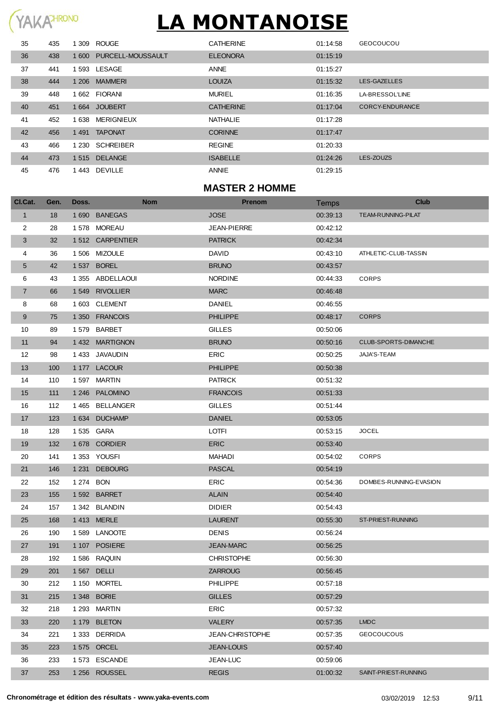### YAKAHRONO

# **LA MONTANOISE**

| 35 | 435 |       | 1 309 ROUGE            | <b>CATHERINE</b> | 01:14:58 | <b>GEOCOUCOU</b> |
|----|-----|-------|------------------------|------------------|----------|------------------|
| 36 | 438 |       | 1600 PURCELL-MOUSSAULT | <b>ELEONORA</b>  | 01:15:19 |                  |
| 37 | 441 |       | 1593 LESAGE            | <b>ANNE</b>      | 01:15:27 |                  |
| 38 | 444 |       | 1 206 MAMMERI          | <b>LOUIZA</b>    | 01:15:32 | LES-GAZELLES     |
| 39 | 448 |       | 1662 FIORANI           | <b>MURIEL</b>    | 01:16:35 | LA-BRESSOL'LINE  |
| 40 | 451 |       | 1664 JOUBERT           | <b>CATHERINE</b> | 01:17:04 | CORCY-ENDURANCE  |
| 41 | 452 | 1 638 | MERIGNIEUX             | <b>NATHALIE</b>  | 01:17:28 |                  |
| 42 | 456 |       | 1491 TAPONAT           | <b>CORINNE</b>   | 01:17:47 |                  |
| 43 | 466 |       | 1 230 SCHREIBER        | <b>REGINE</b>    | 01:20:33 |                  |
| 44 | 473 |       | 1515 DELANGE           | <b>ISABELLE</b>  | 01:24:26 | LES-ZOUZS        |
| 45 | 476 |       | 1443 DEVILLE           | <b>ANNIE</b>     | 01:29:15 |                  |

### **MASTER 2 HOMME**

| Cl.Cat.        | Gen. | Doss.     | <b>Nom</b>       | <b>Prenom</b>      | Temps    | <b>Club</b>               |
|----------------|------|-----------|------------------|--------------------|----------|---------------------------|
| $\mathbf{1}$   | 18   |           | 1690 BANEGAS     | <b>JOSE</b>        | 00:39:13 | <b>TEAM-RUNNING-PILAT</b> |
| $\overline{c}$ | 28   |           | 1578 MOREAU      | <b>JEAN-PIERRE</b> | 00:42:12 |                           |
| 3              | 32   |           | 1512 CARPENTIER  | <b>PATRICK</b>     | 00:42:34 |                           |
| 4              | 36   |           | 1506 MIZOULE     | <b>DAVID</b>       | 00:43:10 | ATHLETIC-CLUB-TASSIN      |
| 5              | 42   |           | 1 537 BOREL      | <b>BRUNO</b>       | 00:43:57 |                           |
| 6              | 43   |           | 1 355 ABDELLAOUI | <b>NORDINE</b>     | 00:44:33 | <b>CORPS</b>              |
| $\overline{7}$ | 66   |           | 1549 RIVOLLIER   | <b>MARC</b>        | 00:46:48 |                           |
| 8              | 68   |           | 1603 CLEMENT     | <b>DANIEL</b>      | 00:46:55 |                           |
| 9              | 75   |           | 1 350 FRANCOIS   | <b>PHILIPPE</b>    | 00:48:17 | <b>CORPS</b>              |
| 10             | 89   |           | 1579 BARBET      | <b>GILLES</b>      | 00:50:06 |                           |
| 11             | 94   |           | 1432 MARTIGNON   | <b>BRUNO</b>       | 00:50:16 | CLUB-SPORTS-DIMANCHE      |
| 12             | 98   |           | 1 433 JAVAUDIN   | <b>ERIC</b>        | 00:50:25 | JAJA'S-TEAM               |
| 13             | 100  |           | 1 177 LACOUR     | <b>PHILIPPE</b>    | 00:50:38 |                           |
| 14             | 110  |           | 1597 MARTIN      | <b>PATRICK</b>     | 00:51:32 |                           |
| 15             | 111  |           | 1 246 PALOMINO   | <b>FRANCOIS</b>    | 00:51:33 |                           |
| 16             | 112  |           | 1 465 BELLANGER  | <b>GILLES</b>      | 00:51:44 |                           |
| 17             | 123  |           | 1 634 DUCHAMP    | <b>DANIEL</b>      | 00:53:05 |                           |
| 18             | 128  |           | 1535 GARA        | LOTFI              | 00:53:15 | <b>JOCEL</b>              |
| 19             | 132  |           | 1678 CORDIER     | <b>ERIC</b>        | 00:53:40 |                           |
| 20             | 141  |           | 1353 YOUSFI      | MAHADI             | 00:54:02 | <b>CORPS</b>              |
| 21             | 146  |           | 1 231 DEBOURG    | <b>PASCAL</b>      | 00:54:19 |                           |
| 22             | 152  | 1 274 BON |                  | <b>ERIC</b>        | 00:54:36 | DOMBES-RUNNING-EVASION    |
| 23             | 155  |           | 1592 BARRET      | <b>ALAIN</b>       | 00:54:40 |                           |
| 24             | 157  |           | 1342 BLANDIN     | <b>DIDIER</b>      | 00:54:43 |                           |
| 25             | 168  |           | 1413 MERLE       | <b>LAURENT</b>     | 00:55:30 | ST-PRIEST-RUNNING         |
| 26             | 190  |           | 1589 LANOOTE     | <b>DENIS</b>       | 00:56:24 |                           |
| 27             | 191  |           | 1 107 POSIERE    | <b>JEAN-MARC</b>   | 00:56:25 |                           |
| 28             | 192  |           | 1586 RAQUIN      | <b>CHRISTOPHE</b>  | 00:56:30 |                           |
| 29             | 201  |           | 1 567 DELLI      | <b>ZARROUG</b>     | 00:56:45 |                           |
| 30             | 212  |           | 1 150 MORTEL     | PHILIPPE           | 00:57:18 |                           |
| 31             | 215  |           | 1 348 BORIE      | <b>GILLES</b>      | 00:57:29 |                           |
| 32             | 218  |           | 1 293 MARTIN     | <b>ERIC</b>        | 00:57:32 |                           |
| 33             | 220  |           | 1 179 BLETON     | <b>VALERY</b>      | 00:57:35 | <b>LMDC</b>               |
| 34             | 221  |           | 1 333 DERRIDA    | JEAN-CHRISTOPHE    | 00:57:35 | <b>GEOCOUCOUS</b>         |
| 35             | 223  |           | 1 575 ORCEL      | <b>JEAN-LOUIS</b>  | 00:57:40 |                           |
| 36             | 233  |           | 1573 ESCANDE     | JEAN-LUC           | 00:59:06 |                           |
| 37             | 253  |           | 1 256 ROUSSEL    | <b>REGIS</b>       | 01:00:32 | SAINT-PRIEST-RUNNING      |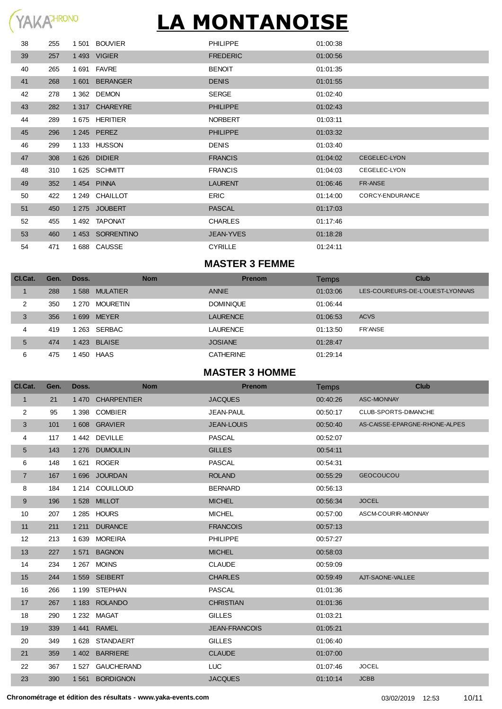| 38 | 255 | 1501 BOUVIER    | <b>PHILIPPE</b>  | 01:00:38 |                     |
|----|-----|-----------------|------------------|----------|---------------------|
| 39 | 257 | 1 493 VIGIER    | <b>FREDERIC</b>  | 01:00:56 |                     |
| 40 | 265 | 1 691 FAVRE     | <b>BENOIT</b>    | 01:01:35 |                     |
| 41 | 268 | 1601 BERANGER   | <b>DENIS</b>     | 01:01:55 |                     |
| 42 | 278 | 1 362 DEMON     | <b>SERGE</b>     | 01:02:40 |                     |
| 43 | 282 | 1 317 CHAREYRE  | <b>PHILIPPE</b>  | 01:02:43 |                     |
| 44 | 289 | 1 675 HERITIER  | <b>NORBERT</b>   | 01:03:11 |                     |
| 45 | 296 | 1 245 PEREZ     | <b>PHILIPPE</b>  | 01:03:32 |                     |
| 46 | 299 | 1 133 HUSSON    | <b>DENIS</b>     | 01:03:40 |                     |
| 47 | 308 | 1 626 DIDIER    | <b>FRANCIS</b>   | 01:04:02 | <b>CEGELEC-LYON</b> |
| 48 | 310 | 1 625 SCHMITT   | <b>FRANCIS</b>   | 01:04:03 | CEGELEC-LYON        |
| 49 | 352 | 1454 PINNA      | <b>LAURENT</b>   | 01:06:46 | FR-ANSE             |
| 50 | 422 | 1 249 CHAILLOT  | <b>ERIC</b>      | 01:14:00 | CORCY-ENDURANCE     |
| 51 | 450 | 1 275 JOUBERT   | <b>PASCAL</b>    | 01:17:03 |                     |
| 52 | 455 | 1492 TAPONAT    | <b>CHARLES</b>   | 01:17:46 |                     |
| 53 | 460 | 1453 SORRENTINO | <b>JEAN-YVES</b> | 01:18:28 |                     |
| 54 | 471 | 1688 CAUSSE     | <b>CYRILLE</b>   | 01:24:11 |                     |

### **MASTER 3 FEMME**

| CI.Cat. | Gen. | Doss.                   | <b>Nom</b> | <b>Prenom</b>    | Temps    | Club                             |
|---------|------|-------------------------|------------|------------------|----------|----------------------------------|
|         | 288  | 1588<br><b>MULATIER</b> |            | <b>ANNIE</b>     | 01:03:06 | LES-COUREURS-DE-L'OUEST-LYONNAIS |
| 2       | 350  | MOURETIN<br>1 270       |            | <b>DOMINIQUE</b> | 01:06:44 |                                  |
| 3       | 356  | <b>MEYER</b><br>1 699   |            | <b>LAURENCE</b>  | 01:06:53 | <b>ACVS</b>                      |
| 4       | 419  | 263 SERBAC              |            | <b>LAURENCE</b>  | 01:13:50 | <b>FR'ANSE</b>                   |
| 5       | 474  | 1423 BLAISE             |            | <b>JOSIANE</b>   | 01:28:47 |                                  |
| 6       | 475  | HAAS<br>450             |            | <b>CATHERINE</b> | 01:29:14 |                                  |

#### **MASTER 3 HOMME**

| CI.Cat.      | Gen. | Doss.   | <b>Nom</b>        | <b>Prenom</b>        | Temps    | <b>Club</b>                   |
|--------------|------|---------|-------------------|----------------------|----------|-------------------------------|
| $\mathbf{1}$ | 21   |         | 1470 CHARPENTIER  | <b>JACQUES</b>       | 00:40:26 | <b>ASC-MIONNAY</b>            |
| 2            | 95   | 1 3 9 8 | <b>COMBIER</b>    | JEAN-PAUL            | 00:50:17 | CLUB-SPORTS-DIMANCHE          |
| 3            | 101  |         | 1608 GRAVIER      | <b>JEAN-LOUIS</b>    | 00:50:40 | AS-CAISSE-EPARGNE-RHONE-ALPES |
| 4            | 117  | 1 4 4 2 | <b>DEVILLE</b>    | <b>PASCAL</b>        | 00:52:07 |                               |
| 5            | 143  | 1 2 7 6 | <b>DUMOULIN</b>   | <b>GILLES</b>        | 00:54:11 |                               |
| 6            | 148  | 1 6 2 1 | <b>ROGER</b>      | <b>PASCAL</b>        | 00:54:31 |                               |
| 7            | 167  |         | 1 696 JOURDAN     | <b>ROLAND</b>        | 00:55:29 | <b>GEOCOUCOU</b>              |
| 8            | 184  | 1 2 1 4 | COUILLOUD         | <b>BERNARD</b>       | 00:56:13 |                               |
| 9            | 196  |         | 1528 MILLOT       | <b>MICHEL</b>        | 00:56:34 | <b>JOCEL</b>                  |
| 10           | 207  | 1 2 8 5 | <b>HOURS</b>      | <b>MICHEL</b>        | 00:57:00 | ASCM-COURIR-MIONNAY           |
| 11           | 211  | 1 2 1 1 | <b>DURANCE</b>    | <b>FRANCOIS</b>      | 00:57:13 |                               |
| 12           | 213  | 1 639   | <b>MOREIRA</b>    | <b>PHILIPPE</b>      | 00:57:27 |                               |
| 13           | 227  | 1 5 7 1 | <b>BAGNON</b>     | <b>MICHEL</b>        | 00:58:03 |                               |
| 14           | 234  |         | 1 267 MOINS       | <b>CLAUDE</b>        | 00:59:09 |                               |
| 15           | 244  |         | 1559 SEIBERT      | <b>CHARLES</b>       | 00:59:49 | AJT-SAONE-VALLEE              |
| 16           | 266  | 1 1 9 9 | <b>STEPHAN</b>    | <b>PASCAL</b>        | 01:01:36 |                               |
| 17           | 267  |         | 1 183 ROLANDO     | <b>CHRISTIAN</b>     | 01:01:36 |                               |
| 18           | 290  | 1 2 3 2 | <b>MAGAT</b>      | <b>GILLES</b>        | 01:03:21 |                               |
| 19           | 339  | 1441    | <b>RAMEL</b>      | <b>JEAN-FRANCOIS</b> | 01:05:21 |                               |
| 20           | 349  | 1 6 2 8 | <b>STANDAERT</b>  | <b>GILLES</b>        | 01:06:40 |                               |
| 21           | 359  |         | 1 402 BARRIERE    | <b>CLAUDE</b>        | 01:07:00 |                               |
| 22           | 367  | 1 5 2 7 | <b>GAUCHERAND</b> | <b>LUC</b>           | 01:07:46 | <b>JOCEL</b>                  |
| 23           | 390  |         | 1561 BORDIGNON    | <b>JACQUES</b>       | 01:10:14 | <b>JCBB</b>                   |